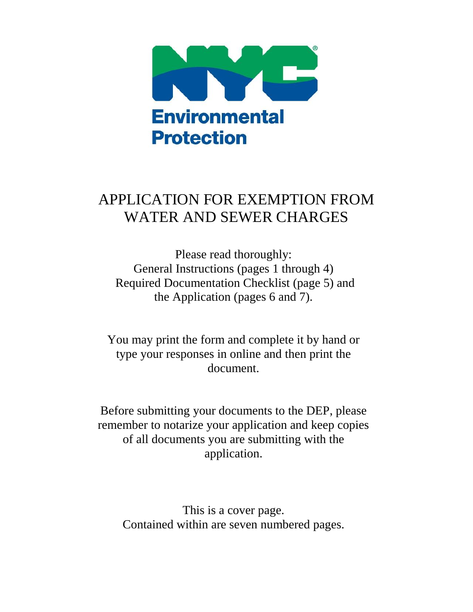

# APPLICATION FOR EXEMPTION FROM WATER AND SEWER CHARGES

Please read thoroughly: General Instructions (pages 1 through 4) Required Documentation Checklist (page 5) and the Application (pages 6 and 7).

You may print the form and complete it by hand or type your responses in online and then print the document.

Before submitting your documents to the DEP, please remember to notarize your application and keep copies of all documents you are submitting with the application.

This is a cover page. Contained within are seven numbered pages.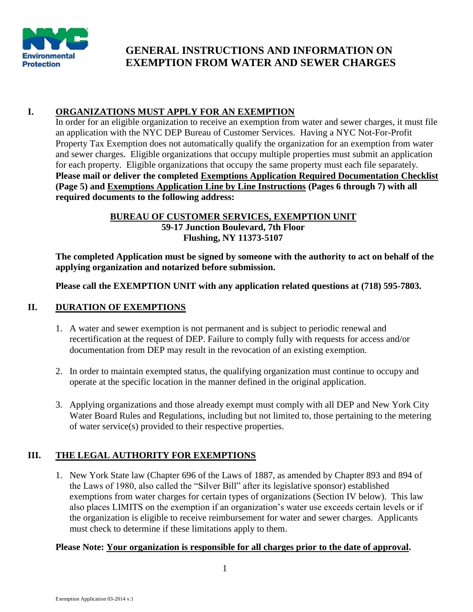

## **GENERAL INSTRUCTIONS AND INFORMATION ON EXEMPTION FROM WATER AND SEWER CHARGES**

## **I. ORGANIZATIONS MUST APPLY FOR AN EXEMPTION**

In order for an eligible organization to receive an exemption from water and sewer charges, it must file an application with the NYC DEP Bureau of Customer Services. Having a NYC Not-For-Profit Property Tax Exemption does not automatically qualify the organization for an exemption from water and sewer charges. Eligible organizations that occupy multiple properties must submit an application for each property. Eligible organizations that occupy the same property must each file separately. **Please mail or deliver the completed Exemptions Application Required Documentation Checklist (Page 5) and Exemptions Application Line by Line Instructions (Pages 6 through 7) with all required documents to the following address:**

## **BUREAU OF CUSTOMER SERVICES, EXEMPTION UNIT 59-17 Junction Boulevard, 7th Floor Flushing, NY 11373-5107**

**The completed Application must be signed by someone with the authority to act on behalf of the applying organization and notarized before submission.** 

**Please call the EXEMPTION UNIT with any application related questions at (718) 595-7803.** 

## **II. DURATION OF EXEMPTIONS**

- 1. A water and sewer exemption is not permanent and is subject to periodic renewal and recertification at the request of DEP. Failure to comply fully with requests for access and/or documentation from DEP may result in the revocation of an existing exemption.
- 2. In order to maintain exempted status, the qualifying organization must continue to occupy and operate at the specific location in the manner defined in the original application.
- 3. Applying organizations and those already exempt must comply with all DEP and New York City Water Board Rules and Regulations, including but not limited to, those pertaining to the metering of water service(s) provided to their respective properties.

## **III. THE LEGAL AUTHORITY FOR EXEMPTIONS**

1. New York State law (Chapter 696 of the Laws of 1887, as amended by Chapter 893 and 894 of the Laws of 1980, also called the "Silver Bill" after its legislative sponsor) established exemptions from water charges for certain types of organizations (Section IV below). This law also places LIMITS on the exemption if an organization's water use exceeds certain levels or if the organization is eligible to receive reimbursement for water and sewer charges. Applicants must check to determine if these limitations apply to them.

## **Please Note: Your organization is responsible for all charges prior to the date of approval.**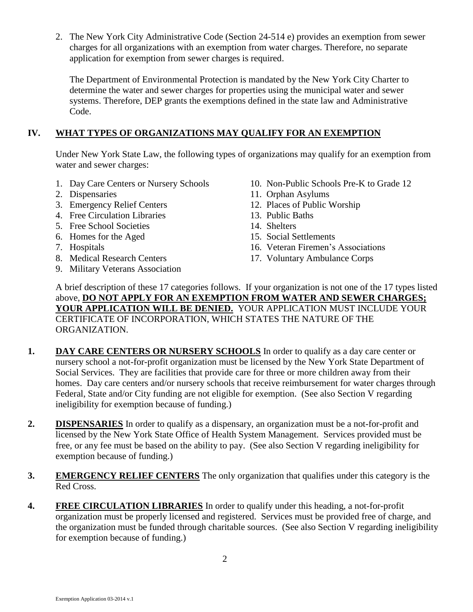2. The New York City Administrative Code (Section 24-514 e) provides an exemption from sewer charges for all organizations with an exemption from water charges. Therefore, no separate application for exemption from sewer charges is required.

The Department of Environmental Protection is mandated by the New York City Charter to determine the water and sewer charges for properties using the municipal water and sewer systems. Therefore, DEP grants the exemptions defined in the state law and Administrative Code.

## **IV. WHAT TYPES OF ORGANIZATIONS MAY QUALIFY FOR AN EXEMPTION**

Under New York State Law, the following types of organizations may qualify for an exemption from water and sewer charges:

- 
- 
- 3. Emergency Relief Centers 12. Places of Public Worship
- 4. Free Circulation Libraries 13. Public Baths
- 5. Free School Societies 14. Shelters
- 6. Homes for the Aged 15. Social Settlements
- 
- 
- 9. Military Veterans Association
- 1. Day Care Centers or Nursery Schools 10. Non-Public Schools Pre-K to Grade 12
- 2. Dispensaries 11. Orphan Asylums
	-
	-
	-
	-
- 7. Hospitals 16. Veteran Firemen's Associations
- 8. Medical Research Centers 17. Voluntary Ambulance Corps

A brief description of these 17 categories follows. If your organization is not one of the 17 types listed above, **DO NOT APPLY FOR AN EXEMPTION FROM WATER AND SEWER CHARGES; YOUR APPLICATION WILL BE DENIED.** YOUR APPLICATION MUST INCLUDE YOUR CERTIFICATE OF INCORPORATION, WHICH STATES THE NATURE OF THE ORGANIZATION.

- 1. **DAY CARE CENTERS OR NURSERY SCHOOLS** In order to qualify as a day care center or nursery school a not-for-profit organization must be licensed by the New York State Department of Social Services. They are facilities that provide care for three or more children away from their homes. Day care centers and/or nursery schools that receive reimbursement for water charges through Federal, State and/or City funding are not eligible for exemption. (See also Section V regarding ineligibility for exemption because of funding.)
- **2. DISPENSARIES** In order to qualify as a dispensary, an organization must be a not-for-profit and licensed by the New York State Office of Health System Management. Services provided must be free, or any fee must be based on the ability to pay. (See also Section V regarding ineligibility for exemption because of funding.)
- **3. EMERGENCY RELIEF CENTERS** The only organization that qualifies under this category is the Red Cross.
- **4. FREE CIRCULATION LIBRARIES** In order to qualify under this heading, a not-for-profit organization must be properly licensed and registered. Services must be provided free of charge, and the organization must be funded through charitable sources. (See also Section V regarding ineligibility for exemption because of funding.)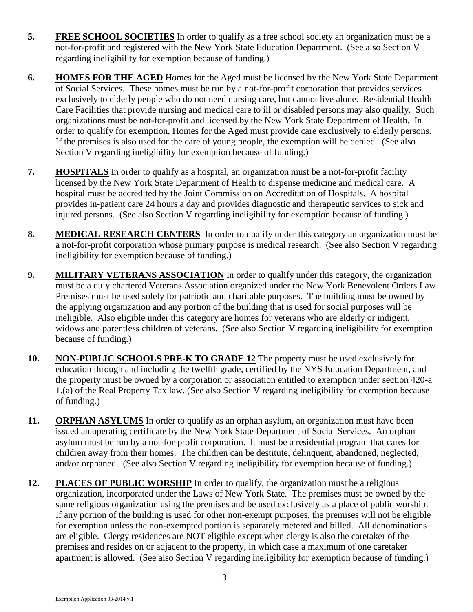- **5. FREE SCHOOL SOCIETIES** In order to qualify as a free school society an organization must be a not-for-profit and registered with the New York State Education Department. (See also Section V regarding ineligibility for exemption because of funding.)
- **6. HOMES FOR THE AGED** Homes for the Aged must be licensed by the New York State Department of Social Services. These homes must be run by a not-for-profit corporation that provides services exclusively to elderly people who do not need nursing care, but cannot live alone. Residential Health Care Facilities that provide nursing and medical care to ill or disabled persons may also qualify. Such organizations must be not-for-profit and licensed by the New York State Department of Health. In order to qualify for exemption, Homes for the Aged must provide care exclusively to elderly persons. If the premises is also used for the care of young people, the exemption will be denied. (See also Section V regarding ineligibility for exemption because of funding.)
- **7. HOSPITALS** In order to qualify as a hospital, an organization must be a not-for-profit facility licensed by the New York State Department of Health to dispense medicine and medical care. A hospital must be accredited by the Joint Commission on Accreditation of Hospitals. A hospital provides in-patient care 24 hours a day and provides diagnostic and therapeutic services to sick and injured persons. (See also Section V regarding ineligibility for exemption because of funding.)
- **8. MEDICAL RESEARCH CENTERS** In order to qualify under this category an organization must be a not-for-profit corporation whose primary purpose is medical research. (See also Section V regarding ineligibility for exemption because of funding.)
- **9. MILITARY VETERANS ASSOCIATION** In order to qualify under this category, the organization must be a duly chartered Veterans Association organized under the New York Benevolent Orders Law. Premises must be used solely for patriotic and charitable purposes. The building must be owned by the applying organization and any portion of the building that is used for social purposes will be ineligible. Also eligible under this category are homes for veterans who are elderly or indigent, widows and parentless children of veterans. (See also Section V regarding ineligibility for exemption because of funding.)
- **10. NON-PUBLIC SCHOOLS PRE-K TO GRADE 12** The property must be used exclusively for education through and including the twelfth grade, certified by the NYS Education Department, and the property must be owned by a corporation or association entitled to exemption under section 420-a 1.(a) of the Real Property Tax law. (See also Section V regarding ineligibility for exemption because of funding.)
- **11. ORPHAN ASYLUMS** In order to qualify as an orphan asylum, an organization must have been issued an operating certificate by the New York State Department of Social Services. An orphan asylum must be run by a not-for-profit corporation. It must be a residential program that cares for children away from their homes. The children can be destitute, delinquent, abandoned, neglected, and/or orphaned. (See also Section V regarding ineligibility for exemption because of funding.)
- **12. PLACES OF PUBLIC WORSHIP** In order to qualify, the organization must be a religious organization, incorporated under the Laws of New York State. The premises must be owned by the same religious organization using the premises and be used exclusively as a place of public worship. If any portion of the building is used for other non-exempt purposes, the premises will not be eligible for exemption unless the non-exempted portion is separately metered and billed. All denominations are eligible. Clergy residences are NOT eligible except when clergy is also the caretaker of the premises and resides on or adjacent to the property, in which case a maximum of one caretaker apartment is allowed. (See also Section V regarding ineligibility for exemption because of funding.)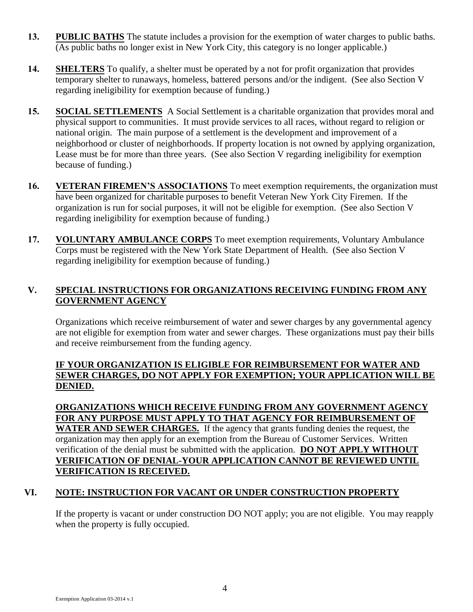- **13. PUBLIC BATHS** The statute includes a provision for the exemption of water charges to public baths. (As public baths no longer exist in New York City, this category is no longer applicable.)
- **14. SHELTERS** To qualify, a shelter must be operated by a not for profit organization that provides temporary shelter to runaways, homeless, battered persons and/or the indigent. (See also Section V regarding ineligibility for exemption because of funding.)
- **15. SOCIAL SETTLEMENTS** A Social Settlement is a charitable organization that provides moral and physical support to communities. It must provide services to all races, without regard to religion or national origin. The main purpose of a settlement is the development and improvement of a neighborhood or cluster of neighborhoods. If property location is not owned by applying organization, Lease must be for more than three years. (See also Section V regarding ineligibility for exemption because of funding.)
- **16. VETERAN FIREMEN'S ASSOCIATIONS** To meet exemption requirements, the organization must have been organized for charitable purposes to benefit Veteran New York City Firemen. If the organization is run for social purposes, it will not be eligible for exemption. (See also Section V regarding ineligibility for exemption because of funding.)
- **17. VOLUNTARY AMBULANCE CORPS** To meet exemption requirements, Voluntary Ambulance Corps must be registered with the New York State Department of Health. (See also Section V regarding ineligibility for exemption because of funding.)

## **V. SPECIAL INSTRUCTIONS FOR ORGANIZATIONS RECEIVING FUNDING FROM ANY GOVERNMENT AGENCY**

Organizations which receive reimbursement of water and sewer charges by any governmental agency are not eligible for exemption from water and sewer charges. These organizations must pay their bills and receive reimbursement from the funding agency.

## **IF YOUR ORGANIZATION IS ELIGIBLE FOR REIMBURSEMENT FOR WATER AND SEWER CHARGES, DO NOT APPLY FOR EXEMPTION; YOUR APPLICATION WILL BE DENIED.**

**ORGANIZATIONS WHICH RECEIVE FUNDING FROM ANY GOVERNMENT AGENCY FOR ANY PURPOSE MUST APPLY TO THAT AGENCY FOR REIMBURSEMENT OF WATER AND SEWER CHARGES.** If the agency that grants funding denies the request, the organization may then apply for an exemption from the Bureau of Customer Services. Written verification of the denial must be submitted with the application. **DO NOT APPLY WITHOUT VERIFICATION OF DENIAL-YOUR APPLICATION CANNOT BE REVIEWED UNTIL VERIFICATION IS RECEIVED.**

## **VI. NOTE: INSTRUCTION FOR VACANT OR UNDER CONSTRUCTION PROPERTY**

If the property is vacant or under construction DO NOT apply; you are not eligible. You may reapply when the property is fully occupied.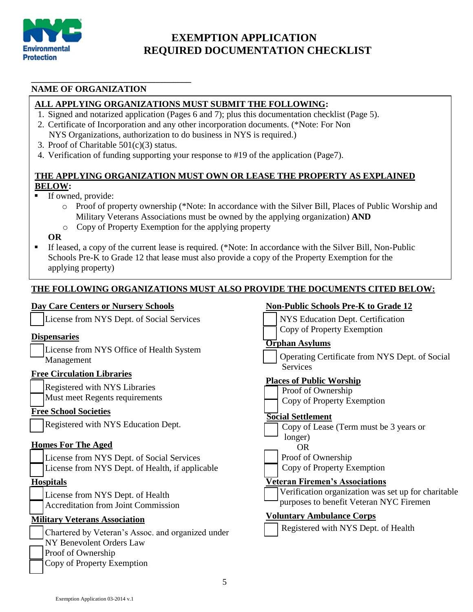

## **EXEMPTION APPLICATION REQUIRED DOCUMENTATION CHECKLIST**

## **NAME OF ORGANIZATION**

#### **ALL APPLYING ORGANIZATIONS MUST SUBMIT THE FOLLOWING:**

- 1. Signed and notarized application (Pages 6 and 7); plus this documentation checklist (Page 5).
- 2. Certificate of Incorporation and any other incorporation documents. (\*Note: For Non NYS Organizations, authorization to do business in NYS is required.)
- 3. Proof of Charitable 501(c)(3) status.

**\_\_\_\_\_\_\_\_\_\_\_\_\_\_\_\_\_\_\_\_\_\_\_\_\_\_\_\_\_\_\_\_\_\_\_\_**

4. Verification of funding supporting your response to #19 of the application (Page7).

#### **THE APPLYING ORGANIZATION MUST OWN OR LEASE THE PROPERTY AS EXPLAINED BELOW:**

- If owned, provide:
	- o Proof of property ownership (\*Note: In accordance with the Silver Bill, Places of Public Worship and Military Veterans Associations must be owned by the applying organization) **AND**
	- o Copy of Property Exemption for the applying property

#### **OR**

 If leased, a copy of the current lease is required. (\*Note: In accordance with the Silver Bill, Non-Public Schools Pre-K to Grade 12 that lease must also provide a copy of the Property Exemption for the applying property)

#### **THE FOLLOWING ORGANIZATIONS MUST ALSO PROVIDE THE DOCUMENTS CITED BELOW:**

#### **Day Care Centers or Nursery Schools**

License from NYS Dept. of Social Services

#### **Dispensaries**

License from NYS Office of Health System Management

#### **Free Circulation Libraries**

Registered with NYS Libraries

Must meet Regents requirements

#### **Free School Societies**

Registered with NYS Education Dept.

#### **Homes For The Aged**

- License from NYS Dept. of Social Services
- License from NYS Dept. of Health, if applicable

#### **Hospitals**

License from NYS Dept. of Health Accreditation from Joint Commission

#### **Military Veterans Association**

Chartered by Veteran's Assoc. and organized under NY Benevolent Orders Law Proof of Ownership Copy of Property Exemption

#### **Non-Public Schools Pre-K to Grade 12**

- NYS Education Dept. Certification
- **Copy of Property Exemption**

#### **Orphan Asylums**

 Operating Certificate from NYS Dept. of Social Services

#### **Places of Public Worship**

- Proof of Ownership
- Copy of Property Exemption

#### **Social Settlement**

Copy of Lease (Term must be 3 years or longer)

OR

 $\overline{a}$ 

Proof of Ownership

Copy of Property Exemption

#### **Veteran Firemen's Associations**

 Verification organization was set up for charitable purposes to benefit Veteran NYC Firemen

#### **Voluntary Ambulance Corps**

Registered with NYS Dept. of Health

Exemption Application 03-2014 v.1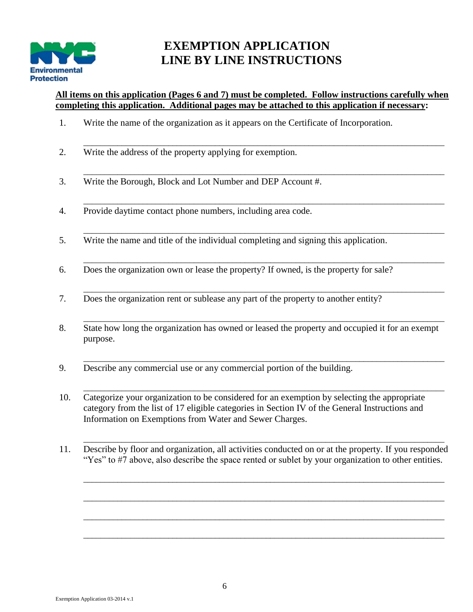

## **EXEMPTION APPLICATION LINE BY LINE INSTRUCTIONS**

## **All items on this application (Pages 6 and 7) must be completed. Follow instructions carefully when completing this application. Additional pages may be attached to this application if necessary:**

\_\_\_\_\_\_\_\_\_\_\_\_\_\_\_\_\_\_\_\_\_\_\_\_\_\_\_\_\_\_\_\_\_\_\_\_\_\_\_\_\_\_\_\_\_\_\_\_\_\_\_\_\_\_\_\_\_\_\_\_\_\_\_\_\_\_\_\_\_\_\_\_\_\_\_\_\_\_\_\_\_\_\_\_\_

\_\_\_\_\_\_\_\_\_\_\_\_\_\_\_\_\_\_\_\_\_\_\_\_\_\_\_\_\_\_\_\_\_\_\_\_\_\_\_\_\_\_\_\_\_\_\_\_\_\_\_\_\_\_\_\_\_\_\_\_\_\_\_\_\_\_\_\_\_\_\_\_\_\_\_\_\_\_\_\_\_\_\_\_\_

\_\_\_\_\_\_\_\_\_\_\_\_\_\_\_\_\_\_\_\_\_\_\_\_\_\_\_\_\_\_\_\_\_\_\_\_\_\_\_\_\_\_\_\_\_\_\_\_\_\_\_\_\_\_\_\_\_\_\_\_\_\_\_\_\_\_\_\_\_\_\_\_\_\_\_\_\_\_\_\_\_\_\_\_\_

\_\_\_\_\_\_\_\_\_\_\_\_\_\_\_\_\_\_\_\_\_\_\_\_\_\_\_\_\_\_\_\_\_\_\_\_\_\_\_\_\_\_\_\_\_\_\_\_\_\_\_\_\_\_\_\_\_\_\_\_\_\_\_\_\_\_\_\_\_\_\_\_\_\_\_\_\_\_\_\_\_\_\_\_\_

\_\_\_\_\_\_\_\_\_\_\_\_\_\_\_\_\_\_\_\_\_\_\_\_\_\_\_\_\_\_\_\_\_\_\_\_\_\_\_\_\_\_\_\_\_\_\_\_\_\_\_\_\_\_\_\_\_\_\_\_\_\_\_\_\_\_\_\_\_\_\_\_\_\_\_\_\_\_\_\_\_\_\_\_\_

\_\_\_\_\_\_\_\_\_\_\_\_\_\_\_\_\_\_\_\_\_\_\_\_\_\_\_\_\_\_\_\_\_\_\_\_\_\_\_\_\_\_\_\_\_\_\_\_\_\_\_\_\_\_\_\_\_\_\_\_\_\_\_\_\_\_\_\_\_\_\_\_\_\_\_\_\_\_\_\_\_\_\_\_\_

\_\_\_\_\_\_\_\_\_\_\_\_\_\_\_\_\_\_\_\_\_\_\_\_\_\_\_\_\_\_\_\_\_\_\_\_\_\_\_\_\_\_\_\_\_\_\_\_\_\_\_\_\_\_\_\_\_\_\_\_\_\_\_\_\_\_\_\_\_\_\_\_\_\_\_\_\_\_\_\_\_\_\_\_\_

\_\_\_\_\_\_\_\_\_\_\_\_\_\_\_\_\_\_\_\_\_\_\_\_\_\_\_\_\_\_\_\_\_\_\_\_\_\_\_\_\_\_\_\_\_\_\_\_\_\_\_\_\_\_\_\_\_\_\_\_\_\_\_\_\_\_\_\_\_\_\_\_\_\_\_\_\_\_\_\_\_\_\_\_\_

\_\_\_\_\_\_\_\_\_\_\_\_\_\_\_\_\_\_\_\_\_\_\_\_\_\_\_\_\_\_\_\_\_\_\_\_\_\_\_\_\_\_\_\_\_\_\_\_\_\_\_\_\_\_\_\_\_\_\_\_\_\_\_\_\_\_\_\_\_\_\_\_\_\_\_\_\_\_\_\_\_\_\_\_\_

\_\_\_\_\_\_\_\_\_\_\_\_\_\_\_\_\_\_\_\_\_\_\_\_\_\_\_\_\_\_\_\_\_\_\_\_\_\_\_\_\_\_\_\_\_\_\_\_\_\_\_\_\_\_\_\_\_\_\_\_\_\_\_\_\_\_\_\_\_\_\_\_\_\_\_\_\_\_\_\_\_\_\_\_\_

\_\_\_\_\_\_\_\_\_\_\_\_\_\_\_\_\_\_\_\_\_\_\_\_\_\_\_\_\_\_\_\_\_\_\_\_\_\_\_\_\_\_\_\_\_\_\_\_\_\_\_\_\_\_\_\_\_\_\_\_\_\_\_\_\_\_\_\_\_\_\_\_\_\_\_\_\_\_\_\_\_\_\_\_\_

\_\_\_\_\_\_\_\_\_\_\_\_\_\_\_\_\_\_\_\_\_\_\_\_\_\_\_\_\_\_\_\_\_\_\_\_\_\_\_\_\_\_\_\_\_\_\_\_\_\_\_\_\_\_\_\_\_\_\_\_\_\_\_\_\_\_\_\_\_\_\_\_\_\_\_\_\_\_\_\_\_\_\_\_\_

- 1. Write the name of the organization as it appears on the Certificate of Incorporation.
- 2. Write the address of the property applying for exemption.
- \_\_\_\_\_\_\_\_\_\_\_\_\_\_\_\_\_\_\_\_\_\_\_\_\_\_\_\_\_\_\_\_\_\_\_\_\_\_\_\_\_\_\_\_\_\_\_\_\_\_\_\_\_\_\_\_\_\_\_\_\_\_\_\_\_\_\_\_\_\_\_\_\_\_\_\_\_\_\_\_\_\_\_\_\_ 3. Write the Borough, Block and Lot Number and DEP Account #.
- 4. Provide daytime contact phone numbers, including area code.
- 5. Write the name and title of the individual completing and signing this application.
- 6. Does the organization own or lease the property? If owned, is the property for sale?
- 7. Does the organization rent or sublease any part of the property to another entity?
- \_\_\_\_\_\_\_\_\_\_\_\_\_\_\_\_\_\_\_\_\_\_\_\_\_\_\_\_\_\_\_\_\_\_\_\_\_\_\_\_\_\_\_\_\_\_\_\_\_\_\_\_\_\_\_\_\_\_\_\_\_\_\_\_\_\_\_\_\_\_\_\_\_\_\_\_\_\_\_\_\_\_\_\_\_ 8. State how long the organization has owned or leased the property and occupied it for an exempt purpose.
- 9. Describe any commercial use or any commercial portion of the building.
- 10. Categorize your organization to be considered for an exemption by selecting the appropriate category from the list of 17 eligible categories in Section IV of the General Instructions and Information on Exemptions from Water and Sewer Charges.
- 11. Describe by floor and organization, all activities conducted on or at the property. If you responded "Yes" to #7 above, also describe the space rented or sublet by your organization to other entities.